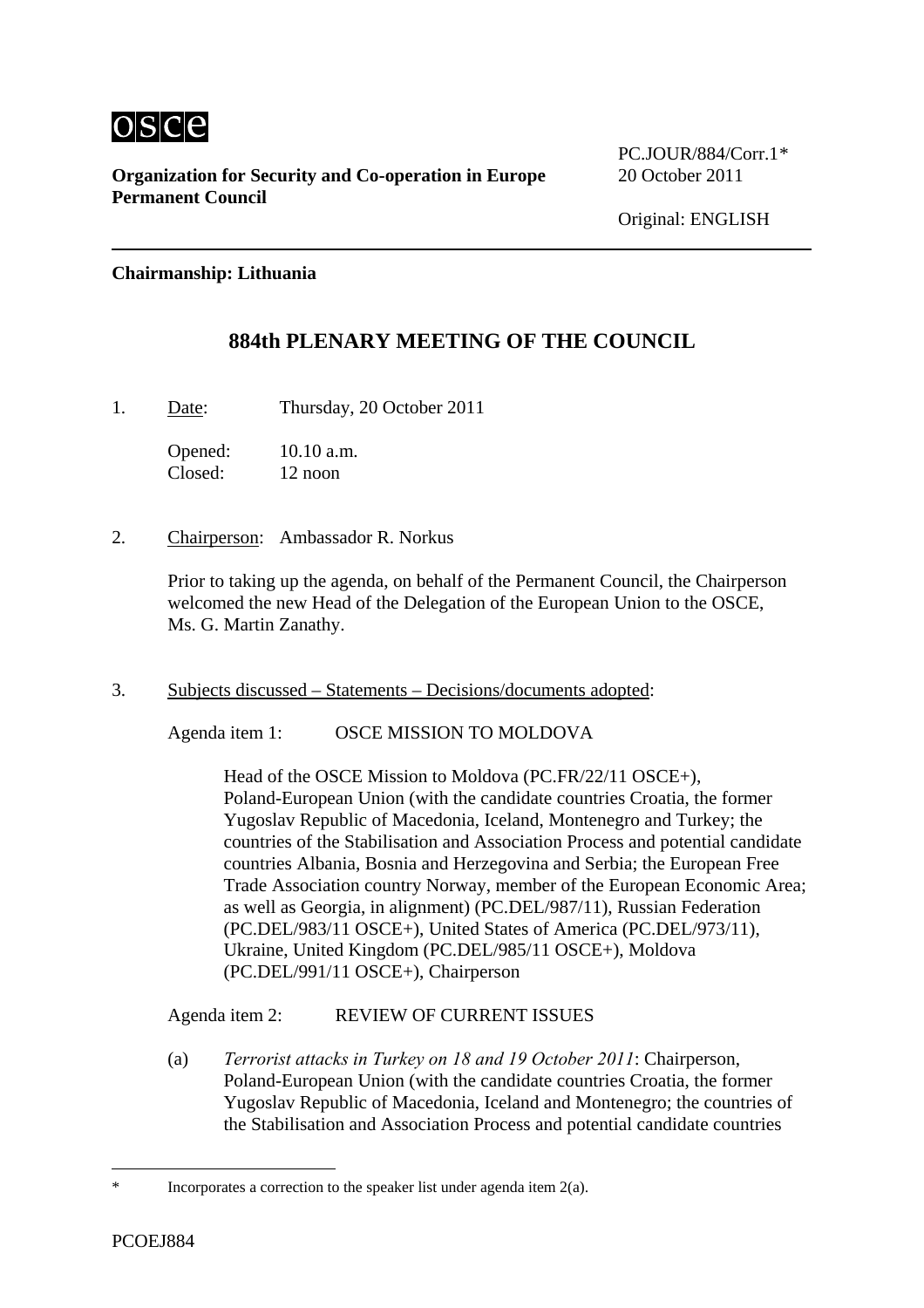

**Organization for Security and Co-operation in Europe** 20 October 2011 **Permanent Council** 

PC.JOUR/884/Corr.1[\\*](#page-0-0)

## **Chairmanship: Lithuania**

## **884th PLENARY MEETING OF THE COUNCIL**

1. Date: Thursday, 20 October 2011

Opened: 10.10 a.m. Closed: 12 noon

2. Chairperson: Ambassador R. Norkus

Prior to taking up the agenda, on behalf of the Permanent Council, the Chairperson welcomed the new Head of the Delegation of the European Union to the OSCE, Ms. G. Martin Zanathy.

3. Subjects discussed – Statements – Decisions/documents adopted:

Agenda item 1: OSCE MISSION TO MOLDOVA

Head of the OSCE Mission to Moldova (PC.FR/22/11 OSCE+), Poland-European Union (with the candidate countries Croatia, the former Yugoslav Republic of Macedonia, Iceland, Montenegro and Turkey; the countries of the Stabilisation and Association Process and potential candidate countries Albania, Bosnia and Herzegovina and Serbia; the European Free Trade Association country Norway, member of the European Economic Area; as well as Georgia, in alignment) (PC.DEL/987/11), Russian Federation (PC.DEL/983/11 OSCE+), United States of America (PC.DEL/973/11), Ukraine, United Kingdom (PC.DEL/985/11 OSCE+), Moldova (PC.DEL/991/11 OSCE+), Chairperson

Agenda item 2: REVIEW OF CURRENT ISSUES

(a) *Terrorist attacks in Turkey on 18 and 19 October 2011*: Chairperson, Poland-European Union (with the candidate countries Croatia, the former Yugoslav Republic of Macedonia, Iceland and Montenegro; the countries of the Stabilisation and Association Process and potential candidate countries

 $\overline{a}$ 

<span id="page-0-0"></span>Incorporates a correction to the speaker list under agenda item  $2(a)$ .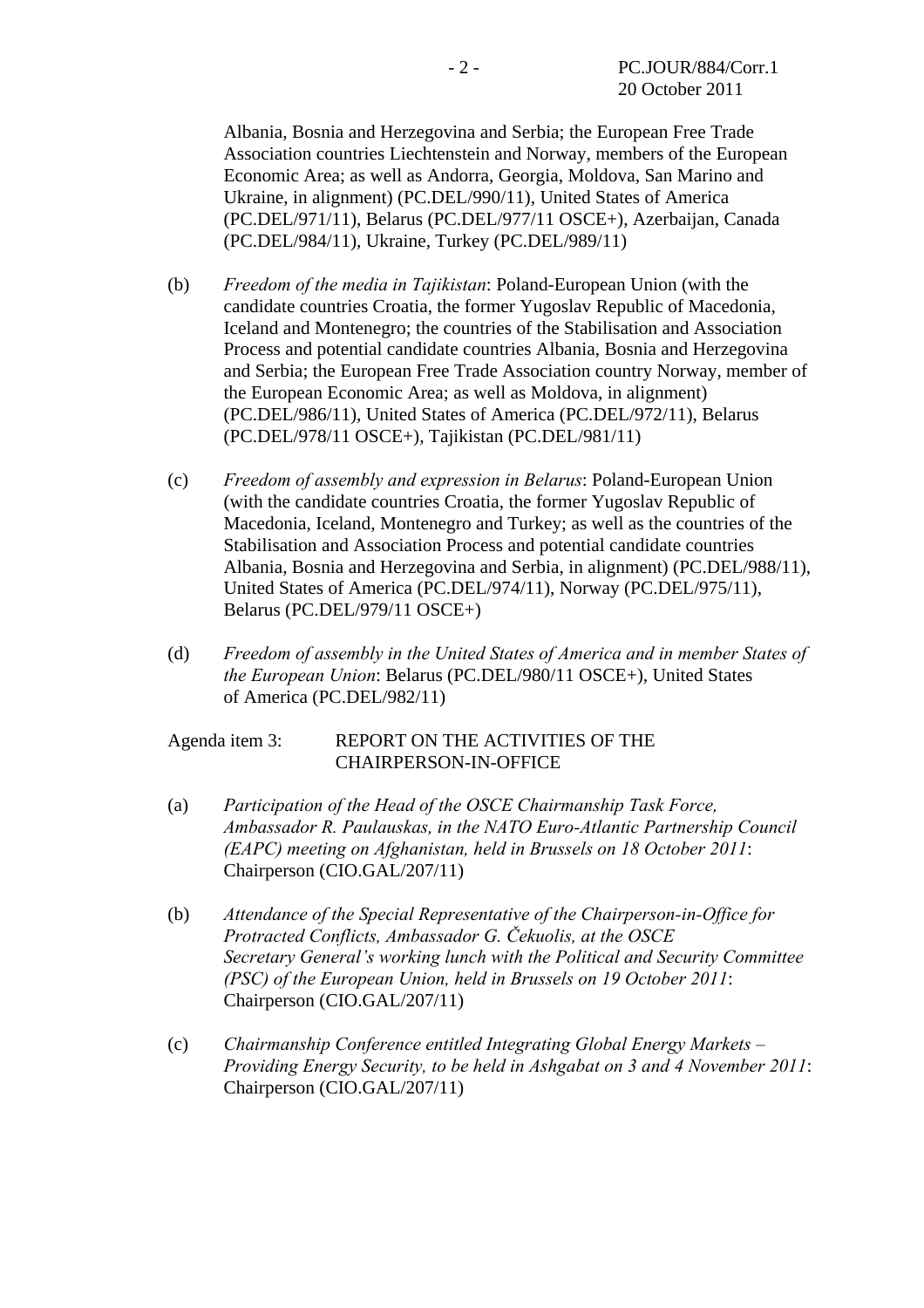Albania, Bosnia and Herzegovina and Serbia; the European Free Trade Association countries Liechtenstein and Norway, members of the European Economic Area; as well as Andorra, Georgia, Moldova, San Marino and Ukraine, in alignment) (PC.DEL/990/11), United States of America (PC.DEL/971/11), Belarus (PC.DEL/977/11 OSCE+), Azerbaijan, Canada (PC.DEL/984/11), Ukraine, Turkey (PC.DEL/989/11)

- (b) *Freedom of the media in Tajikistan*: Poland-European Union (with the candidate countries Croatia, the former Yugoslav Republic of Macedonia, Iceland and Montenegro; the countries of the Stabilisation and Association Process and potential candidate countries Albania, Bosnia and Herzegovina and Serbia; the European Free Trade Association country Norway, member of the European Economic Area; as well as Moldova, in alignment) (PC.DEL/986/11), United States of America (PC.DEL/972/11), Belarus (PC.DEL/978/11 OSCE+), Tajikistan (PC.DEL/981/11)
- (c) *Freedom of assembly and expression in Belarus*: Poland-European Union (with the candidate countries Croatia, the former Yugoslav Republic of Macedonia, Iceland, Montenegro and Turkey; as well as the countries of the Stabilisation and Association Process and potential candidate countries Albania, Bosnia and Herzegovina and Serbia, in alignment) (PC.DEL/988/11), United States of America (PC.DEL/974/11), Norway (PC.DEL/975/11), Belarus (PC.DEL/979/11 OSCE+)
- (d) *Freedom of assembly in the United States of America and in member States of the European Union*: Belarus (PC.DEL/980/11 OSCE+), United States of America (PC.DEL/982/11)

## Agenda item 3: REPORT ON THE ACTIVITIES OF THE CHAIRPERSON-IN-OFFICE

- (a) *Participation of the Head of the OSCE Chairmanship Task Force, Ambassador R. Paulauskas, in the NATO Euro-Atlantic Partnership Council (EAPC) meeting on Afghanistan, held in Brussels on 18 October 2011*: Chairperson (CIO.GAL/207/11)
- (b) *Attendance of the Special Representative of the Chairperson-in-Office for Protracted Conflicts, Ambassador G. Čekuolis, at the OSCE Secretary General's working lunch with the Political and Security Committee (PSC) of the European Union, held in Brussels on 19 October 2011*: Chairperson (CIO.GAL/207/11)
- (c) *Chairmanship Conference entitled Integrating Global Energy Markets Providing Energy Security, to be held in Ashgabat on 3 and 4 November 2011*: Chairperson (CIO.GAL/207/11)